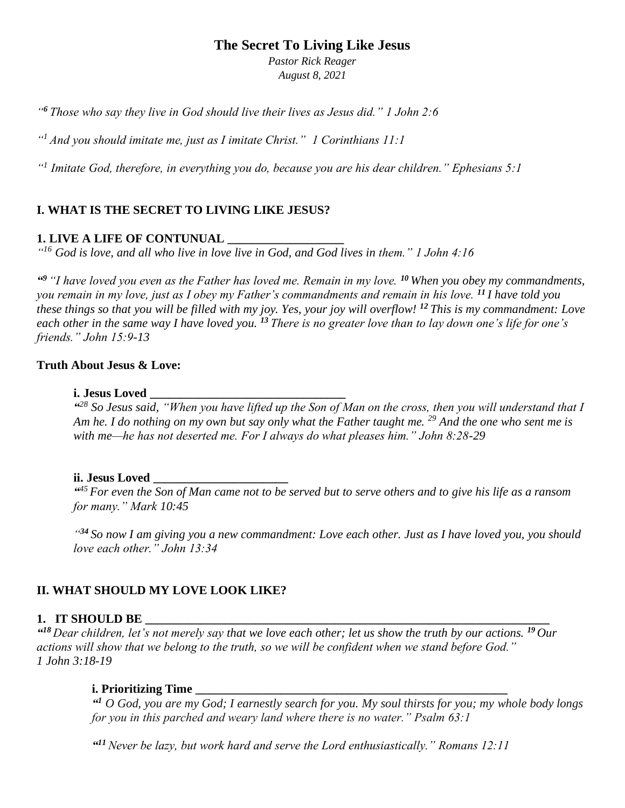# **The Secret To Living Like Jesus**

*Pastor Rick Reager August 8, 2021*

*" <sup>6</sup> Those who say they live in God should live their lives as Jesus did." 1 John 2:6*

*" <sup>1</sup> And you should imitate me, just as I imitate Christ." 1 Corinthians 11:1*

*" 1 Imitate God, therefore, in everything you do, because you are his dear children." Ephesians 5:1*

## **I. WHAT IS THE SECRET TO LIVING LIKE JESUS?**

### **1. LIVE A LIFE OF CONTUNUAL \_\_\_\_\_\_\_\_\_\_\_\_\_\_\_\_\_\_\_**

*" <sup>16</sup> God is love, and all who live in love live in God, and God lives in them." 1 John 4:16*

*" <sup>9</sup> "I have loved you even as the Father has loved me. Remain in my love. <sup>10</sup> When you obey my commandments, you remain in my love, just as I obey my Father's commandments and remain in his love. <sup>11</sup> I have told you these things so that you will be filled with my joy. Yes, your joy will overflow! <sup>12</sup> This is my commandment: Love each other in the same way I have loved you. <sup>13</sup> There is no greater love than to lay down one's life for one's friends." John 15:9-13*

### **Truth About Jesus & Love:**

### **i. Jesus Loved \_\_\_\_\_\_\_\_\_\_\_\_\_\_\_\_\_\_\_\_\_\_\_\_\_\_\_\_\_\_\_\_**

<sup>428</sup> So Jesus said, "When you have lifted up the Son of Man on the cross, then you will understand that I *Am he. I do nothing on my own but say only what the Father taught me. <sup>29</sup> And the one who sent me is with me—he has not deserted me. For I always do what pleases him." John 8:28-29*

### **ii. Jesus Loved \_\_\_\_\_\_\_\_\_\_\_\_\_\_\_\_\_\_\_\_\_\_**

*" <sup>45</sup> For even the Son of Man came not to be served but to serve others and to give his life as a ransom for many." Mark 10:45*

*" <sup>34</sup> So now I am giving you a new commandment: Love each other. Just as I have loved you, you should love each other." John 13:34*

## **II. WHAT SHOULD MY LOVE LOOK LIKE?**

### **1. IT SHOULD BE**

*" <sup>18</sup> Dear children, let's not merely say that we love each other; let us show the truth by our actions. <sup>19</sup> Our actions will show that we belong to the truth, so we will be confident when we stand before God." 1 John 3:18-19*

### **i. Prioritizing Time**

*" <sup>1</sup> O God, you are my God; I earnestly search for you. My soul thirsts for you; my whole body longs for you in this parched and weary land where there is no water." Psalm 63:1*

*" <sup>11</sup> Never be lazy, but work hard and serve the Lord enthusiastically." Romans 12:11*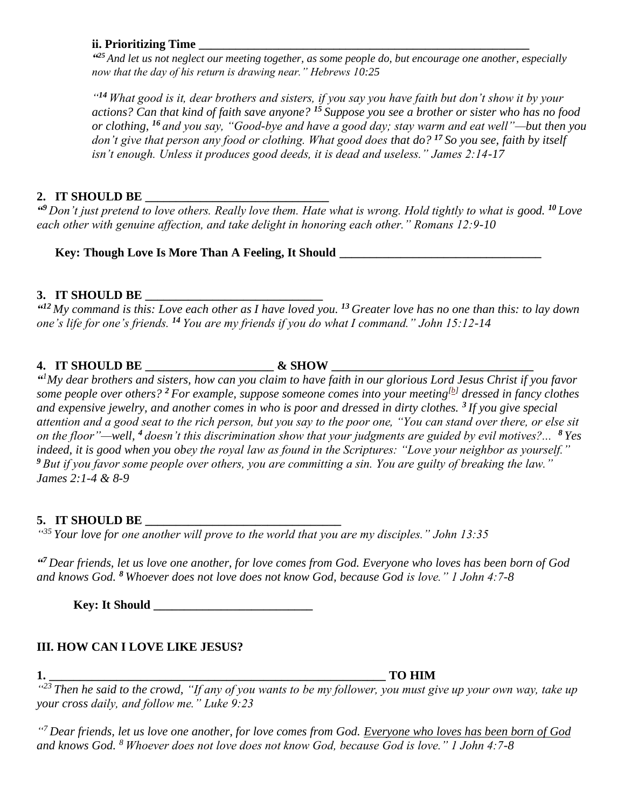### **ii. Prioritizing Time**

*" <sup>25</sup> And let us not neglect our meeting together, as some people do, but encourage one another, especially now that the day of his return is drawing near." Hebrews 10:25*

*" <sup>14</sup> What good is it, dear brothers and sisters, if you say you have faith but don't show it by your actions? Can that kind of faith save anyone? <sup>15</sup> Suppose you see a brother or sister who has no food or clothing, <sup>16</sup> and you say, "Good-bye and have a good day; stay warm and eat well"—but then you don't give that person any food or clothing. What good does that do? <sup>17</sup> So you see, faith by itself isn't enough. Unless it produces good deeds, it is dead and useless." James 2:14-17*

## 2. **IT SHOULD BE**

*" <sup>9</sup> Don't just pretend to love others. Really love them. Hate what is wrong. Hold tightly to what is good. <sup>10</sup> Love each other with genuine affection, and take delight in honoring each other." Romans 12:9-10*

Key: Though Love Is More Than A Feeling, It Should

## **3. IT SHOULD BE \_\_\_\_\_\_\_\_\_\_\_\_\_\_\_\_\_\_\_\_\_\_\_\_\_\_\_\_\_**

*" <sup>12</sup> My command is this: Love each other as I have loved you. <sup>13</sup> Greater love has no one than this: to lay down one's life for one's friends. <sup>14</sup> You are my friends if you do what I command." John 15:12-14*

## **4. IT SHOULD BE \_\_\_\_\_\_\_\_\_\_\_\_\_\_\_\_\_\_\_\_\_ & SHOW \_\_\_\_\_\_\_\_\_\_\_\_\_\_\_\_\_\_\_\_\_\_\_\_\_\_\_\_\_\_\_\_\_**

*" <sup>1</sup>My dear brothers and sisters, how can you claim to have faith in our glorious Lord Jesus Christ if you favor some people over others? <sup>2</sup> For example, suppose someone comes into your meeting[\[b\]](https://www.biblegateway.com/passage/?search=James+2&version=NLT#fen-NLT-30256b) dressed in fancy clothes and expensive jewelry, and another comes in who is poor and dressed in dirty clothes. <sup>3</sup> If you give special attention and a good seat to the rich person, but you say to the poor one, "You can stand over there, or else sit on the floor"—well, <sup>4</sup> doesn't this discrimination show that your judgments are guided by evil motives?... <sup>8</sup> Yes indeed, it is good when you obey the royal law as found in the Scriptures: "Love your neighbor as yourself." <sup>9</sup> But if you favor some people over others, you are committing a sin. You are guilty of breaking the law." James 2:1-4 & 8-9* 

# **5. IT SHOULD BE \_\_\_\_\_\_\_\_\_\_\_\_\_\_\_\_\_\_\_\_\_\_\_\_\_\_\_\_\_\_\_\_**

*" <sup>35</sup> Your love for one another will prove to the world that you are my disciples." John 13:35*

*" <sup>7</sup> Dear friends, let us love one another, for love comes from God. Everyone who loves has been born of God and knows God. <sup>8</sup> Whoever does not love does not know God, because God is love." 1 John 4:7-8*

Key: It Should

## **III. HOW CAN I LOVE LIKE JESUS?**

**1. \_\_\_\_\_\_\_\_\_\_\_\_\_\_\_\_\_\_\_\_\_\_\_\_\_\_\_\_\_\_\_\_\_\_\_\_\_\_\_\_\_\_\_\_\_\_\_\_\_\_\_\_\_\_\_ TO HIM**

*" <sup>23</sup> Then he said to the crowd, "If any of you wants to be my follower, you must give up your own way, take up your cross daily, and follow me." Luke 9:23*

*" <sup>7</sup> Dear friends, let us love one another, for love comes from God. Everyone who loves has been born of God and knows God. <sup>8</sup> Whoever does not love does not know God, because God is love." 1 John 4:7-8*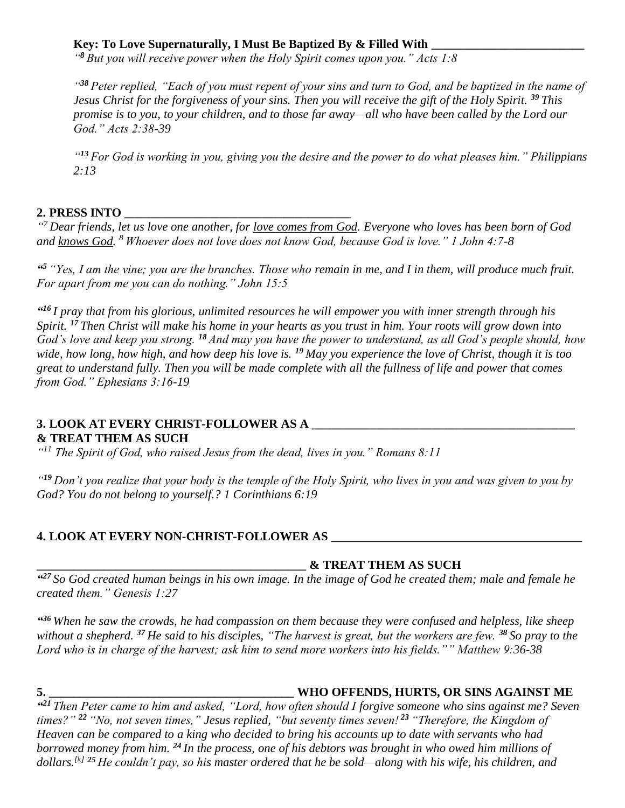# Key: To Love Supernaturally, I Must Be Baptized By & Filled With

*" <sup>8</sup> But you will receive power when the Holy Spirit comes upon you." Acts 1:8*

*" <sup>38</sup> Peter replied, "Each of you must repent of your sins and turn to God, and be baptized in the name of Jesus Christ for the forgiveness of your sins. Then you will receive the gift of the Holy Spirit. <sup>39</sup> This promise is to you, to your children, and to those far away—all who have been called by the Lord our God." Acts 2:38-39*

*" <sup>13</sup> For God is working in you, giving you the desire and the power to do what pleases him." Philippians 2:13*

## **2. PRESS INTO \_\_\_\_\_\_\_\_\_\_\_\_\_\_\_\_\_\_\_\_\_\_\_\_\_\_\_\_\_\_\_\_\_\_\_\_\_**

<sup>"7</sup> Dear friends, let us love one another, for <u>love comes from God</u>. Everyone who loves has been born of God *and knows God. <sup>8</sup> Whoever does not love does not know God, because God is love." 1 John 4:7-8*

*" <sup>5</sup> "Yes, I am the vine; you are the branches. Those who remain in me, and I in them, will produce much fruit. For apart from me you can do nothing." John 15:5*

*" <sup>16</sup> I pray that from his glorious, unlimited resources he will empower you with inner strength through his Spirit. <sup>17</sup> Then Christ will make his home in your hearts as you trust in him. Your roots will grow down into God's love and keep you strong. <sup>18</sup> And may you have the power to understand, as all God's people should, how wide, how long, how high, and how deep his love is. <sup>19</sup> May you experience the love of Christ, though it is too great to understand fully. Then you will be made complete with all the fullness of life and power that comes from God." Ephesians 3:16-19*

### **3. LOOK AT EVERY CHRIST-FOLLOWER AS A \_\_\_\_\_\_\_\_\_\_\_\_\_\_\_\_\_\_\_\_\_\_\_\_\_\_\_\_\_\_\_\_\_\_\_\_\_\_\_\_\_\_\_ & TREAT THEM AS SUCH**

*" <sup>11</sup> The Spirit of God, who raised Jesus from the dead, lives in you." Romans 8:11*

*" <sup>19</sup> Don't you realize that your body is the temple of the Holy Spirit, who lives in you and was given to you by God? You do not belong to yourself.? 1 Corinthians 6:19*

# **4. LOOK AT EVERY NON-CHRIST-FOLLOWER AS \_\_\_\_\_\_\_\_\_\_\_\_\_\_\_\_\_\_\_\_\_\_\_\_\_\_\_\_\_\_\_\_\_\_\_\_\_\_\_\_\_**

## **\_\_\_\_\_\_\_\_\_\_\_\_\_\_\_\_\_\_\_\_\_\_\_\_\_\_\_\_\_\_\_\_\_\_\_\_\_\_\_\_\_\_\_\_ & TREAT THEM AS SUCH**

*" <sup>27</sup> So God created human beings in his own image. In the image of God he created them; male and female he created them." Genesis 1:27*

*" <sup>36</sup> When he saw the crowds, he had compassion on them because they were confused and helpless, like sheep without a shepherd. <sup>37</sup> He said to his disciples, "The harvest is great, but the workers are few. <sup>38</sup> So pray to the Lord who is in charge of the harvest; ask him to send more workers into his fields."" Matthew 9:36-38*

## **5. \_\_\_\_\_\_\_\_\_\_\_\_\_\_\_\_\_\_\_\_\_\_\_\_\_\_\_\_\_\_\_\_\_\_\_\_\_\_\_\_ WHO OFFENDS, HURTS, OR SINS AGAINST ME**

*" <sup>21</sup> Then Peter came to him and asked, "Lord, how often should I forgive someone who sins against me? Seven times?" <sup>22</sup> "No, not seven times," Jesus replied, "but seventy times seven! <sup>23</sup> "Therefore, the Kingdom of Heaven can be compared to a king who decided to bring his accounts up to date with servants who had borrowed money from him. <sup>24</sup> In the process, one of his debtors was brought in who owed him millions of dollars.[\[k\]](https://www.biblegateway.com/passage/?search=Matthew+18&version=NLT#fen-NLT-23726k) <sup>25</sup> He couldn't pay, so his master ordered that he be sold—along with his wife, his children, and*